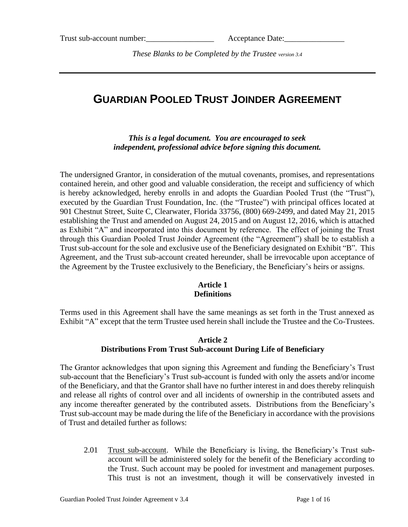*These Blanks to be Completed by the Trustee version 3.4*

# **GUARDIAN POOLED TRUST JOINDER AGREEMENT**

*This is a legal document. You are encouraged to seek independent, professional advice before signing this document.*

The undersigned Grantor, in consideration of the mutual covenants, promises, and representations contained herein, and other good and valuable consideration, the receipt and sufficiency of which is hereby acknowledged, hereby enrolls in and adopts the Guardian Pooled Trust (the "Trust"), executed by the Guardian Trust Foundation, Inc. (the "Trustee") with principal offices located at 901 Chestnut Street, Suite C, Clearwater, Florida 33756, (800) 669-2499, and dated May 21, 2015 establishing the Trust and amended on August 24, 2015 and on August 12, 2016, which is attached as Exhibit "A" and incorporated into this document by reference. The effect of joining the Trust through this Guardian Pooled Trust Joinder Agreement (the "Agreement") shall be to establish a Trust sub-account for the sole and exclusive use of the Beneficiary designated on Exhibit "B". This Agreement, and the Trust sub-account created hereunder, shall be irrevocable upon acceptance of the Agreement by the Trustee exclusively to the Beneficiary, the Beneficiary's heirs or assigns.

### **Article 1 Definitions**

Terms used in this Agreement shall have the same meanings as set forth in the Trust annexed as Exhibit "A" except that the term Trustee used herein shall include the Trustee and the Co-Trustees.

### **Article 2 Distributions From Trust Sub-account During Life of Beneficiary**

The Grantor acknowledges that upon signing this Agreement and funding the Beneficiary's Trust sub-account that the Beneficiary's Trust sub-account is funded with only the assets and/or income of the Beneficiary, and that the Grantor shall have no further interest in and does thereby relinquish and release all rights of control over and all incidents of ownership in the contributed assets and any income thereafter generated by the contributed assets. Distributions from the Beneficiary's Trust sub-account may be made during the life of the Beneficiary in accordance with the provisions of Trust and detailed further as follows:

2.01 Trust sub-account. While the Beneficiary is living, the Beneficiary's Trust subaccount will be administered solely for the benefit of the Beneficiary according to the Trust. Such account may be pooled for investment and management purposes. This trust is not an investment, though it will be conservatively invested in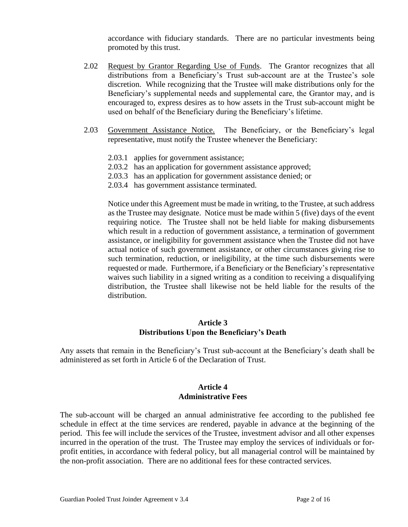accordance with fiduciary standards. There are no particular investments being promoted by this trust.

- 2.02 Request by Grantor Regarding Use of Funds. The Grantor recognizes that all distributions from a Beneficiary's Trust sub-account are at the Trustee's sole discretion. While recognizing that the Trustee will make distributions only for the Beneficiary's supplemental needs and supplemental care, the Grantor may, and is encouraged to, express desires as to how assets in the Trust sub-account might be used on behalf of the Beneficiary during the Beneficiary's lifetime.
- 2.03 Government Assistance Notice. The Beneficiary, or the Beneficiary's legal representative, must notify the Trustee whenever the Beneficiary:
	- 2.03.1 applies for government assistance;
	- 2.03.2 has an application for government assistance approved;
	- 2.03.3 has an application for government assistance denied; or
	- 2.03.4 has government assistance terminated.

Notice under this Agreement must be made in writing, to the Trustee, at such address as the Trustee may designate. Notice must be made within 5 (five) days of the event requiring notice. The Trustee shall not be held liable for making disbursements which result in a reduction of government assistance, a termination of government assistance, or ineligibility for government assistance when the Trustee did not have actual notice of such government assistance, or other circumstances giving rise to such termination, reduction, or ineligibility, at the time such disbursements were requested or made. Furthermore, if a Beneficiary or the Beneficiary's representative waives such liability in a signed writing as a condition to receiving a disqualifying distribution, the Trustee shall likewise not be held liable for the results of the distribution.

#### **Article 3 Distributions Upon the Beneficiary's Death**

Any assets that remain in the Beneficiary's Trust sub-account at the Beneficiary's death shall be administered as set forth in Article 6 of the Declaration of Trust.

#### **Article 4 Administrative Fees**

The sub-account will be charged an annual administrative fee according to the published fee schedule in effect at the time services are rendered, payable in advance at the beginning of the period. This fee will include the services of the Trustee, investment advisor and all other expenses incurred in the operation of the trust. The Trustee may employ the services of individuals or forprofit entities, in accordance with federal policy, but all managerial control will be maintained by the non-profit association. There are no additional fees for these contracted services.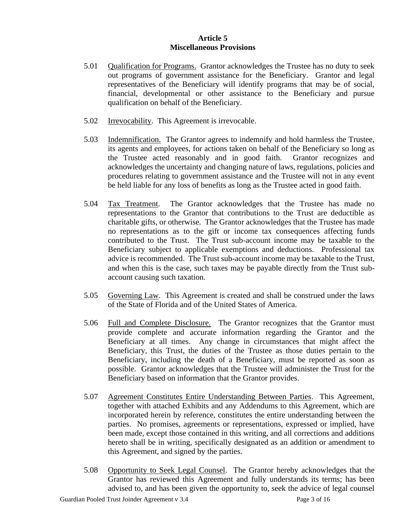#### **Article 5 Miscellaneous Provisions**

- 5.01 Qualification for Programs. Grantor acknowledges the Trustee has no duty to seek out programs of government assistance for the Beneficiary. Grantor and legal representatives of the Beneficiary will identify programs that may be of social, financial, developmental or other assistance to the Beneficiary and pursue qualification on behalf of the Beneficiary.
- 5.02 Irrevocability. This Agreement is irrevocable.
- 5.03 Indemnification. The Grantor agrees to indemnify and hold harmless the Trustee, its agents and employees, for actions taken on behalf of the Beneficiary so long as the Trustee acted reasonably and in good faith. Grantor recognizes and acknowledges the uncertainty and changing nature of laws, regulations, policies and procedures relating to government assistance and the Trustee will not in any event be held liable for any loss of benefits as long as the Trustee acted in good faith.
- 5.04 Tax Treatment. The Grantor acknowledges that the Trustee has made no representations to the Grantor that contributions to the Trust are deductible as charitable gifts, or otherwise. The Grantor acknowledges that the Trustee has made no representations as to the gift or income tax consequences affecting funds contributed to the Trust. The Trust sub-account income may be taxable to the Beneficiary subject to applicable exemptions and deductions. Professional tax advice is recommended. The Trust sub-account income may be taxable to the Trust, and when this is the case, such taxes may be payable directly from the Trust subaccount causing such taxation.
- 5.05 Governing Law. This Agreement is created and shall be construed under the laws of the State of Florida and of the United States of America.
- 5.06 Full and Complete Disclosure. The Grantor recognizes that the Grantor must provide complete and accurate information regarding the Grantor and the Beneficiary at all times. Any change in circumstances that might affect the Beneficiary, this Trust, the duties of the Trustee as those duties pertain to the Beneficiary, including the death of a Beneficiary, must be reported as soon as possible. Grantor acknowledges that the Trustee will administer the Trust for the Beneficiary based on information that the Grantor provides.
- 5.07 Agreement Constitutes Entire Understanding Between Parties. This Agreement, together with attached Exhibits and any Addendums to this Agreement, which are incorporated herein by reference, constitutes the entire understanding between the parties. No promises, agreements or representations, expressed or implied, have been made, except those contained in this writing, and all corrections and additions hereto shall be in writing, specifically designated as an addition or amendment to this Agreement, and signed by the parties.
- 5.08 Opportunity to Seek Legal Counsel. The Grantor hereby acknowledges that the Grantor has reviewed this Agreement and fully understands its terms; has been advised to, and has been given the opportunity to, seek the advice of legal counsel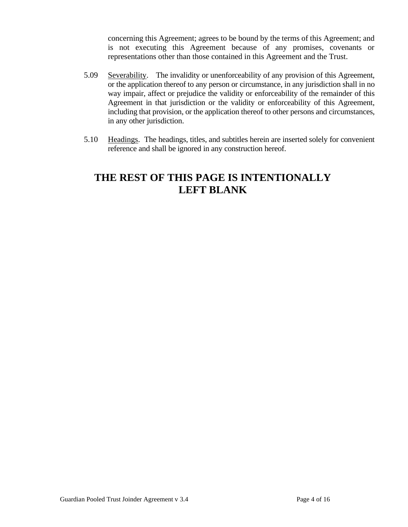concerning this Agreement; agrees to be bound by the terms of this Agreement; and is not executing this Agreement because of any promises, covenants or representations other than those contained in this Agreement and the Trust.

- 5.09 Severability. The invalidity or unenforceability of any provision of this Agreement, or the application thereof to any person or circumstance, in any jurisdiction shall in no way impair, affect or prejudice the validity or enforceability of the remainder of this Agreement in that jurisdiction or the validity or enforceability of this Agreement, including that provision, or the application thereof to other persons and circumstances, in any other jurisdiction.
- 5.10 Headings. The headings, titles, and subtitles herein are inserted solely for convenient reference and shall be ignored in any construction hereof.

# **THE REST OF THIS PAGE IS INTENTIONALLY LEFT BLANK**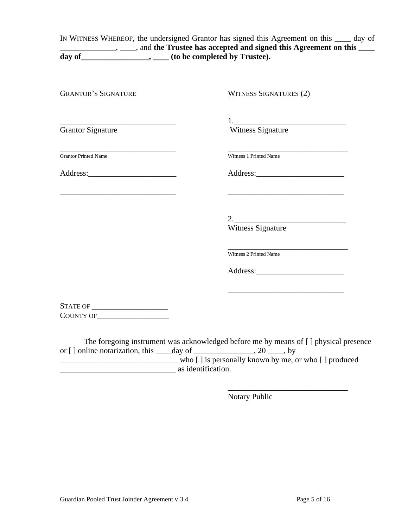IN WITNESS WHEREOF, the undersigned Grantor has signed this Agreement on this \_\_\_\_ day of **\_\_\_\_\_\_\_\_\_\_\_\_\_\_\_**, and the Trustee has accepted and signed this Agreement on this \_\_\_\_ **day of\_\_\_\_\_\_\_\_\_\_\_\_\_\_\_\_\_, \_\_\_\_ (to be completed by Trustee).**

| <b>GRANTOR'S SIGNATURE</b>                                       | <b>WITNESS SIGNATURES (2)</b>                                                             |
|------------------------------------------------------------------|-------------------------------------------------------------------------------------------|
|                                                                  |                                                                                           |
| <b>Grantor Signature</b>                                         | <b>Witness Signature</b>                                                                  |
| <b>Grantor Printed Name</b>                                      | Witness 1 Printed Name                                                                    |
|                                                                  |                                                                                           |
| <u> 1989 - Jan James James, politik eta idazleari (h. 1982).</u> | the control of the control of the control of the control of the control of the control of |
|                                                                  | $2. \qquad \qquad \overbrace{\qquad \qquad }$                                             |
|                                                                  | Witness Signature                                                                         |
|                                                                  | Witness 2 Printed Name                                                                    |
|                                                                  |                                                                                           |
|                                                                  |                                                                                           |
|                                                                  |                                                                                           |
| COUNTY OF                                                        |                                                                                           |

The foregoing instrument was acknowledged before me by means of [ ] physical presence or [] online notarization, this  $\_\_\_\_day$  of  $\_\_\_\_\_\_\_gg$ , 20  $\_\_\_\_$ , by who [ ] is personally known by me, or who [ ] produced \_\_\_\_\_\_\_\_\_\_\_\_\_\_\_\_\_\_\_\_\_\_\_\_\_\_\_\_\_ as identification.

Notary Public

\_\_\_\_\_\_\_\_\_\_\_\_\_\_\_\_\_\_\_\_\_\_\_\_\_\_\_\_\_\_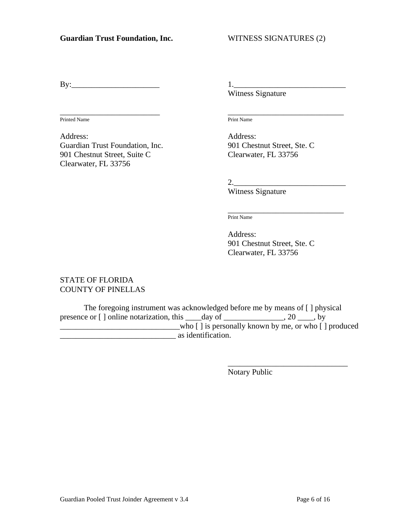By:\_\_\_\_\_\_\_\_\_\_\_\_\_\_\_\_\_\_\_\_\_\_ 1.\_\_\_\_\_\_\_\_\_\_\_\_\_\_\_\_\_\_\_\_\_\_\_\_\_\_\_\_

\_\_\_\_\_\_\_\_\_\_\_\_\_\_\_\_\_\_\_\_\_\_\_\_\_ \_\_\_\_\_\_\_\_\_\_\_\_\_\_\_\_\_\_\_\_\_\_\_\_\_\_\_\_\_ Printed Name Print Name

Address: Address: Guardian Trust Foundation, Inc. 901 Chestnut Street, Ste. C 901 Chestnut Street, Suite C<br>
Clearwater, FL 33756 Clearwater, FL 33756

Witness Signature

2.

Witness Signature

\_\_\_\_\_\_\_\_\_\_\_\_\_\_\_\_\_\_\_\_\_\_\_\_\_\_\_\_\_ Print Name

Address: 901 Chestnut Street, Ste. C Clearwater, FL 33756

### STATE OF FLORIDA COUNTY OF PINELLAS

The foregoing instrument was acknowledged before me by means of [ ] physical presence or [] online notarization, this \_\_\_\_day of \_\_\_\_\_\_\_\_\_\_\_\_, 20 \_\_\_\_, by  $\frac{1}{\sqrt{2}}$  who [ ] is personally known by me, or who [ ] produced \_\_\_\_\_\_\_\_\_\_\_\_\_\_\_\_\_\_\_\_\_\_\_\_\_\_\_\_\_ as identification.

Notary Public

\_\_\_\_\_\_\_\_\_\_\_\_\_\_\_\_\_\_\_\_\_\_\_\_\_\_\_\_\_\_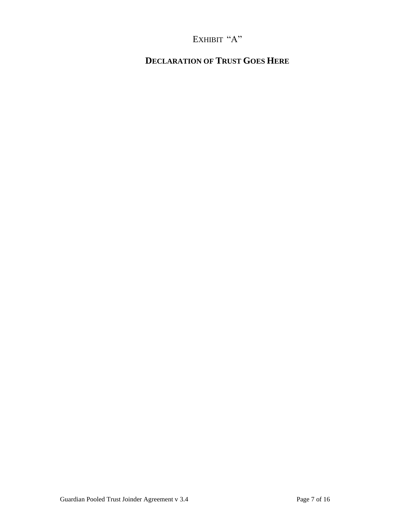# EXHIBIT "A"

# **DECLARATION OF TRUST GOES HERE**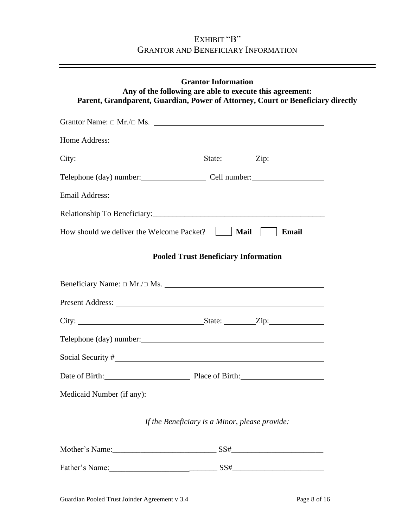## EXHIBIT "B" GRANTOR AND BENEFICIARY INFORMATION

| <b>Grantor Information</b><br>Any of the following are able to execute this agreement:<br>Parent, Grandparent, Guardian, Power of Attorney, Court or Beneficiary directly                                                      |
|--------------------------------------------------------------------------------------------------------------------------------------------------------------------------------------------------------------------------------|
| Grantor Name: $\Box$ Mr./ $\Box$ Ms.                                                                                                                                                                                           |
|                                                                                                                                                                                                                                |
|                                                                                                                                                                                                                                |
| Telephone (day) number: Cell number:                                                                                                                                                                                           |
| Email Address: No. 1996. The Contract of the Contract of the Contract of the Contract of the Contract of the Contract of the Contract of the Contract of the Contract of the Contract of the Contract of the Contract of the C |
|                                                                                                                                                                                                                                |
| How should we deliver the Welcome Packet?     <b>Mail</b>    <br>Email                                                                                                                                                         |
| <b>Pooled Trust Beneficiary Information</b>                                                                                                                                                                                    |
| Beneficiary Name: □ Mr./□ Ms.                                                                                                                                                                                                  |
|                                                                                                                                                                                                                                |
|                                                                                                                                                                                                                                |
| Telephone (day) number:                                                                                                                                                                                                        |
|                                                                                                                                                                                                                                |
| Date of Birth: Place of Birth:                                                                                                                                                                                                 |
|                                                                                                                                                                                                                                |
| If the Beneficiary is a Minor, please provide:                                                                                                                                                                                 |
|                                                                                                                                                                                                                                |
| Father's Name: SS#                                                                                                                                                                                                             |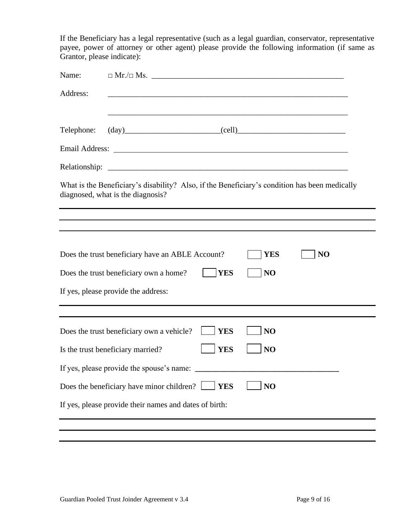If the Beneficiary has a legal representative (such as a legal guardian, conservator, representative payee, power of attorney or other agent) please provide the following information (if same as Grantor, please indicate):

| Name:         |                                                                                                                                                                                                                                |
|---------------|--------------------------------------------------------------------------------------------------------------------------------------------------------------------------------------------------------------------------------|
| Address:      | ,我们也不能在这里的时候,我们也不能在这里的时候,我们也不能会在这里的时候,我们也不能会在这里的时候,我们也不能会在这里的时候,我们也不能会在这里的时候,我们也不                                                                                                                                              |
| Telephone:    |                                                                                                                                                                                                                                |
|               | Email Address: No. 1996. The Second Second Second Second Second Second Second Second Second Second Second Second Second Second Second Second Second Second Second Second Second Second Second Second Second Second Second Seco |
| Relationship: |                                                                                                                                                                                                                                |
|               | What is the Beneficiary's disability? Also, if the Beneficiary's condition has been medically<br>diagnosed, what is the diagnosis?                                                                                             |
|               | ,我们也不会有什么。""我们的人,我们也不会有什么?""我们的人,我们也不会有什么?""我们的人,我们也不会有什么?""我们的人,我们也不会有什么?""我们的人                                                                                                                                               |
|               | Does the trust beneficiary have an ABLE Account?<br><b>YES</b><br>NO                                                                                                                                                           |
|               | Does the trust beneficiary own a home?<br><b>YES</b><br>NO                                                                                                                                                                     |
|               | If yes, please provide the address:                                                                                                                                                                                            |
|               |                                                                                                                                                                                                                                |
|               | Does the trust beneficiary own a vehicle?<br><b>YES</b><br>NO                                                                                                                                                                  |
|               | NO<br><b>YES</b><br>Is the trust beneficiary married?                                                                                                                                                                          |
|               | If yes, please provide the spouse's name:                                                                                                                                                                                      |
|               | Does the beneficiary have minor children?<br>NO<br><b>YES</b>                                                                                                                                                                  |
|               | If yes, please provide their names and dates of birth:                                                                                                                                                                         |
|               |                                                                                                                                                                                                                                |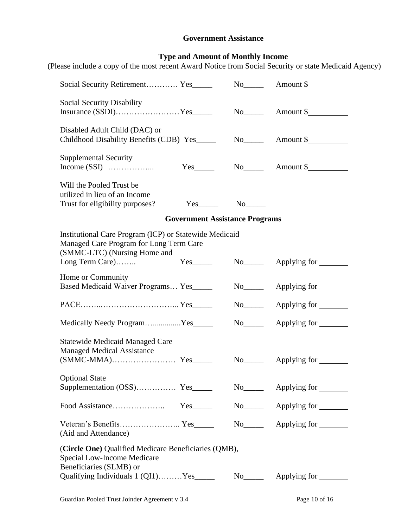### **Government Assistance**

#### **Type and Amount of Monthly Income**

(Please include a copy of the most recent Award Notice from Social Security or state Medicaid Agency)

| Social Security Retirement Yes______                                                                                              |                                       |                         |                                           |
|-----------------------------------------------------------------------------------------------------------------------------------|---------------------------------------|-------------------------|-------------------------------------------|
| Social Security Disability                                                                                                        |                                       |                         |                                           |
| Disabled Adult Child (DAC) or<br>Childhood Disability Benefits (CDB) Yes                                                          |                                       |                         |                                           |
| <b>Supplemental Security</b>                                                                                                      | $Yes$ <sub>_______</sub>              |                         |                                           |
| Will the Pooled Trust be<br>utilized in lieu of an Income<br>Trust for eligibility purposes?                                      | $Yes$ <sub>________</sub>             | $No$ <sub>_______</sub> |                                           |
|                                                                                                                                   | <b>Government Assistance Programs</b> |                         |                                           |
| Institutional Care Program (ICP) or Statewide Medicaid<br>Managed Care Program for Long Term Care<br>(SMMC-LTC) (Nursing Home and |                                       |                         |                                           |
| Long Term Care)                                                                                                                   | $Yes$ <sub>_________</sub>            |                         | No <sub>_____</sub> Applying for ________ |
| Home or Community<br>Based Medicaid Waiver Programs Yes_____                                                                      |                                       |                         | No <sub>_____</sub> Applying for _______  |
|                                                                                                                                   |                                       |                         |                                           |
| Medically Needy ProgramYes_____                                                                                                   |                                       |                         | No <sub>_____</sub> Applying for ______   |
| <b>Statewide Medicaid Managed Care</b><br><b>Managed Medical Assistance</b>                                                       |                                       |                         |                                           |
|                                                                                                                                   |                                       |                         | $No$ Applying for                         |
| <b>Optional State</b><br>Supplementation (OSS) Yes_                                                                               |                                       |                         |                                           |
|                                                                                                                                   |                                       |                         |                                           |
| (Aid and Attendance)                                                                                                              |                                       |                         |                                           |
| (Circle One) Qualified Medicare Beneficiaries (QMB),<br>Special Low-Income Medicare                                               |                                       |                         |                                           |
| Beneficiaries (SLMB) or                                                                                                           |                                       |                         |                                           |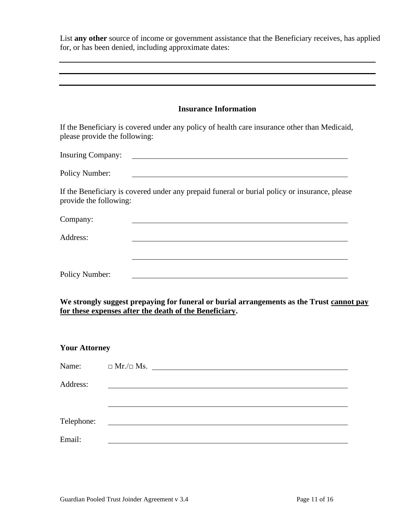List **any other** source of income or government assistance that the Beneficiary receives, has applied for, or has been denied, including approximate dates:

| <b>Insurance Information</b>                                                                                                  |  |
|-------------------------------------------------------------------------------------------------------------------------------|--|
|                                                                                                                               |  |
| If the Beneficiary is covered under any policy of health care insurance other than Medicaid,<br>please provide the following: |  |
|                                                                                                                               |  |
| <b>Policy Number:</b>                                                                                                         |  |
| If the Beneficiary is covered under any prepaid funeral or burial policy or insurance, please<br>provide the following:       |  |
| Company:                                                                                                                      |  |
| Address:                                                                                                                      |  |
|                                                                                                                               |  |
| <b>Policy Number:</b>                                                                                                         |  |

**We strongly suggest prepaying for funeral or burial arrangements as the Trust cannot pay for these expenses after the death of the Beneficiary.** 

### **Your Attorney**

| Name:      | $\Box$ Mr./ $\Box$ Ms.                                       |
|------------|--------------------------------------------------------------|
| Address:   |                                                              |
|            |                                                              |
|            |                                                              |
| Telephone: | <u> 1989 - Andrea Albert III, politik fizikar (h. 1982).</u> |
| Email:     |                                                              |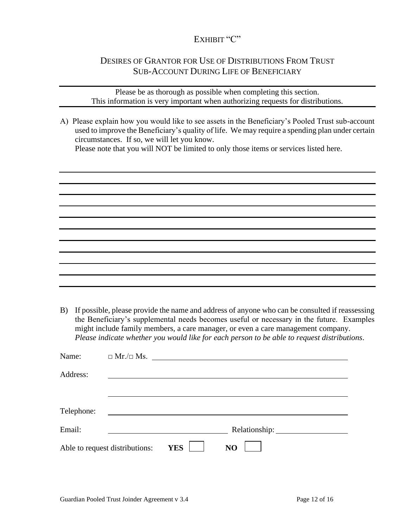### EXHIBIT "C"

## DESIRES OF GRANTOR FOR USE OF DISTRIBUTIONS FROM TRUST SUB-ACCOUNT DURING LIFE OF BENEFICIARY

Please be as thorough as possible when completing this section. This information is very important when authorizing requests for distributions.

A) Please explain how you would like to see assets in the Beneficiary's Pooled Trust sub-account used to improve the Beneficiary's quality of life. We may require a spending plan under certain circumstances. If so, we will let you know.

Please note that you will NOT be limited to only those items or services listed here.

B) If possible, please provide the name and address of anyone who can be consulted if reassessing the Beneficiary's supplemental needs becomes useful or necessary in the future. Examples might include family members, a care manager, or even a care management company. *Please indicate whether you would like for each person to be able to request distributions*.

| Name:                          |                              |  |
|--------------------------------|------------------------------|--|
| Address:                       |                              |  |
|                                |                              |  |
| Telephone:                     |                              |  |
| Email:                         |                              |  |
| Able to request distributions: | <b>YES</b><br>N <sub>O</sub> |  |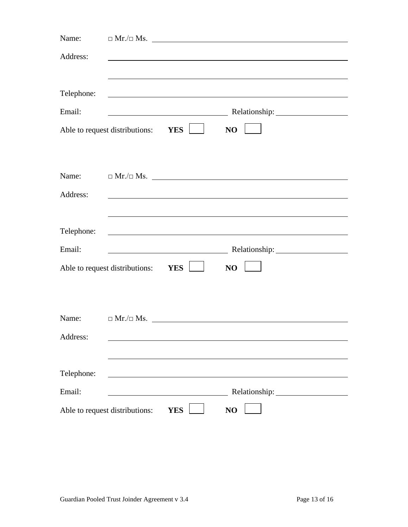| Name:                          | $\Box$ Mr./ $\Box$ Ms.         |                                                                                                                      |                               |  |
|--------------------------------|--------------------------------|----------------------------------------------------------------------------------------------------------------------|-------------------------------|--|
| Address:                       |                                |                                                                                                                      |                               |  |
|                                |                                |                                                                                                                      |                               |  |
| Telephone:                     |                                |                                                                                                                      |                               |  |
| Email:                         |                                |                                                                                                                      |                               |  |
| Able to request distributions: |                                | <b>YES</b>                                                                                                           | N <sub>O</sub>                |  |
|                                |                                |                                                                                                                      |                               |  |
| Name:                          |                                |                                                                                                                      | $\Box$ Mr./ $\Box$ Ms. $\Box$ |  |
|                                |                                |                                                                                                                      |                               |  |
| Address:                       |                                |                                                                                                                      |                               |  |
|                                |                                |                                                                                                                      |                               |  |
| Telephone:                     |                                |                                                                                                                      |                               |  |
| Email:                         |                                | <u> 1980 - Johann Barn, mars ann an t-Amhain Aonaich an t-Aonaich an t-Aonaich ann an t-Aonaich ann an t-Aonaich</u> |                               |  |
|                                | Able to request distributions: | YES                                                                                                                  | NO                            |  |
|                                |                                |                                                                                                                      |                               |  |
|                                |                                |                                                                                                                      |                               |  |
| Name:                          |                                |                                                                                                                      | $\Box$ Mr./ $\Box$ Ms. $\Box$ |  |
| Address:                       |                                |                                                                                                                      |                               |  |
|                                |                                |                                                                                                                      |                               |  |
| Telephone:                     |                                |                                                                                                                      |                               |  |
| Email:                         |                                |                                                                                                                      |                               |  |
| Able to request distributions: |                                | <b>YES</b>                                                                                                           | NO                            |  |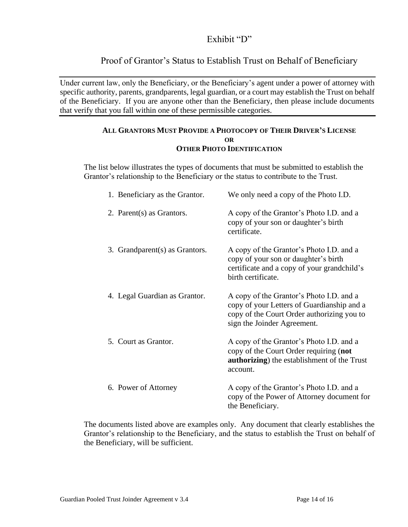## Exhibit "D"

## Proof of Grantor's Status to Establish Trust on Behalf of Beneficiary

Under current law, only the Beneficiary, or the Beneficiary's agent under a power of attorney with specific authority, parents, grandparents, legal guardian, or a court may establish the Trust on behalf of the Beneficiary. If you are anyone other than the Beneficiary, then please include documents that verify that you fall within one of these permissible categories.

#### **ALL GRANTORS MUST PROVIDE A PHOTOCOPY OF THEIR DRIVER'S LICENSE OR OTHER PHOTO IDENTIFICATION**

The list below illustrates the types of documents that must be submitted to establish the Grantor's relationship to the Beneficiary or the status to contribute to the Trust.

| 1. Beneficiary as the Grantor. | We only need a copy of the Photo I.D.                                                                                                                               |
|--------------------------------|---------------------------------------------------------------------------------------------------------------------------------------------------------------------|
| 2. Parent(s) as Grantors.      | A copy of the Grantor's Photo I.D. and a<br>copy of your son or daughter's birth<br>certificate.                                                                    |
| 3. Grandparent(s) as Grantors. | A copy of the Grantor's Photo I.D. and a<br>copy of your son or daughter's birth<br>certificate and a copy of your grandchild's<br>birth certificate.               |
| 4. Legal Guardian as Grantor.  | A copy of the Grantor's Photo I.D. and a<br>copy of your Letters of Guardianship and a<br>copy of the Court Order authorizing you to<br>sign the Joinder Agreement. |
| 5. Court as Grantor.           | A copy of the Grantor's Photo I.D. and a<br>copy of the Court Order requiring (not<br>authorizing) the establishment of the Trust<br>account.                       |
| 6. Power of Attorney           | A copy of the Grantor's Photo I.D. and a<br>copy of the Power of Attorney document for<br>the Beneficiary.                                                          |

The documents listed above are examples only. Any document that clearly establishes the Grantor's relationship to the Beneficiary, and the status to establish the Trust on behalf of the Beneficiary, will be sufficient.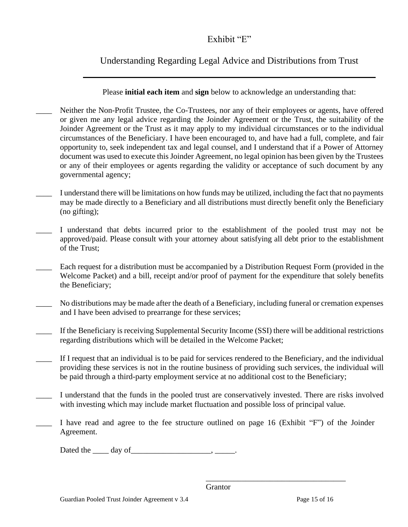# Exhibit "E"

# Understanding Regarding Legal Advice and Distributions from Trust

Please **initial each item** and **sign** below to acknowledge an understanding that:

- Neither the Non-Profit Trustee, the Co-Trustees, nor any of their employees or agents, have offered or given me any legal advice regarding the Joinder Agreement or the Trust, the suitability of the Joinder Agreement or the Trust as it may apply to my individual circumstances or to the individual circumstances of the Beneficiary. I have been encouraged to, and have had a full, complete, and fair opportunity to, seek independent tax and legal counsel, and I understand that if a Power of Attorney document was used to execute this Joinder Agreement, no legal opinion has been given by the Trustees or any of their employees or agents regarding the validity or acceptance of such document by any governmental agency;
- \_\_\_\_ I understand there will be limitations on how funds may be utilized, including the fact that no payments may be made directly to a Beneficiary and all distributions must directly benefit only the Beneficiary (no gifting);
- I understand that debts incurred prior to the establishment of the pooled trust may not be approved/paid. Please consult with your attorney about satisfying all debt prior to the establishment of the Trust;
- Each request for a distribution must be accompanied by a Distribution Request Form (provided in the Welcome Packet) and a bill, receipt and/or proof of payment for the expenditure that solely benefits the Beneficiary;
- No distributions may be made after the death of a Beneficiary, including funeral or cremation expenses and I have been advised to prearrange for these services;
- \_\_\_\_ If the Beneficiary is receiving Supplemental Security Income (SSI) there will be additional restrictions regarding distributions which will be detailed in the Welcome Packet;
- If I request that an individual is to be paid for services rendered to the Beneficiary, and the individual providing these services is not in the routine business of providing such services, the individual will be paid through a third-party employment service at no additional cost to the Beneficiary;
- I understand that the funds in the pooled trust are conservatively invested. There are risks involved with investing which may include market fluctuation and possible loss of principal value.
- I have read and agree to the fee structure outlined on page 16 (Exhibit "F") of the Joinder Agreement.

Dated the day of hermannihilary  $\frac{1}{2}$  day of  $\frac{1}{2}$ 

 $\overline{\phantom{a}}$  , and the contract of the contract of the contract of the contract of the contract of the contract of the contract of the contract of the contract of the contract of the contract of the contract of the contrac **Grantor**